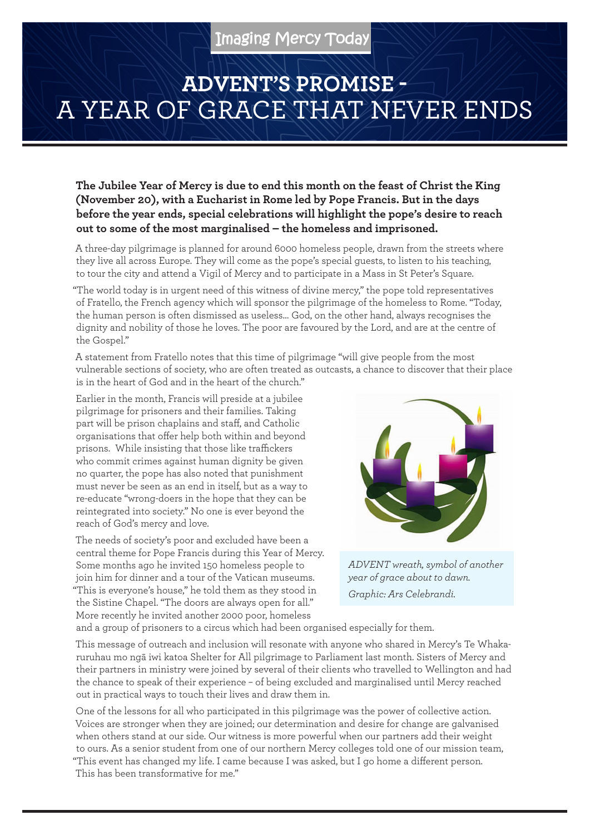## Imaging Mercy Today

## **ADVENT'S PROMISE -**  A YEAR OF GRACE THAT NEVER ENDS

**The Jubilee Year of Mercy is due to end this month on the feast of Christ the King (November 20), with a Eucharist in Rome led by Pope Francis. But in the days before the year ends, special celebrations will highlight the pope's desire to reach out to some of the most marginalised – the homeless and imprisoned.**

A three-day pilgrimage is planned for around 6000 homeless people, drawn from the streets where they live all across Europe. They will come as the pope's special guests, to listen to his teaching, to tour the city and attend a Vigil of Mercy and to participate in a Mass in St Peter's Square.

"The world today is in urgent need of this witness of divine mercy," the pope told representatives of Fratello, the French agency which will sponsor the pilgrimage of the homeless to Rome. "Today, the human person is often dismissed as useless… God, on the other hand, always recognises the dignity and nobility of those he loves. The poor are favoured by the Lord, and are at the centre of the Gospel."

A statement from Fratello notes that this time of pilgrimage "will give people from the most vulnerable sections of society, who are often treated as outcasts, a chance to discover that their place is in the heart of God and in the heart of the church."

Earlier in the month, Francis will preside at a jubilee pilgrimage for prisoners and their families. Taking part will be prison chaplains and staff, and Catholic organisations that offer help both within and beyond prisons. While insisting that those like traffickers who commit crimes against human dignity be given no quarter, the pope has also noted that punishment must never be seen as an end in itself, but as a way to re-educate "wrong-doers in the hope that they can be reintegrated into society." No one is ever beyond the reach of God's mercy and love.

The needs of society's poor and excluded have been a central theme for Pope Francis during this Year of Mercy. Some months ago he invited 150 homeless people to join him for dinner and a tour of the Vatican museums. "This is everyone's house," he told them as they stood in the Sistine Chapel. "The doors are always open for all." More recently he invited another 2000 poor, homeless



*ADVENT wreath, symbol of another year of grace about to dawn. Graphic: Ars Celebrandi.*

and a group of prisoners to a circus which had been organised especially for them.

This message of outreach and inclusion will resonate with anyone who shared in Mercy's Te Whakaruruhau mo ngā iwi katoa Shelter for All pilgrimage to Parliament last month. Sisters of Mercy and their partners in ministry were joined by several of their clients who travelled to Wellington and had the chance to speak of their experience – of being excluded and marginalised until Mercy reached out in practical ways to touch their lives and draw them in.

One of the lessons for all who participated in this pilgrimage was the power of collective action. Voices are stronger when they are joined; our determination and desire for change are galvanised when others stand at our side. Our witness is more powerful when our partners add their weight to ours. As a senior student from one of our northern Mercy colleges told one of our mission team, "This event has changed my life. I came because I was asked, but I go home a different person. This has been transformative for me."